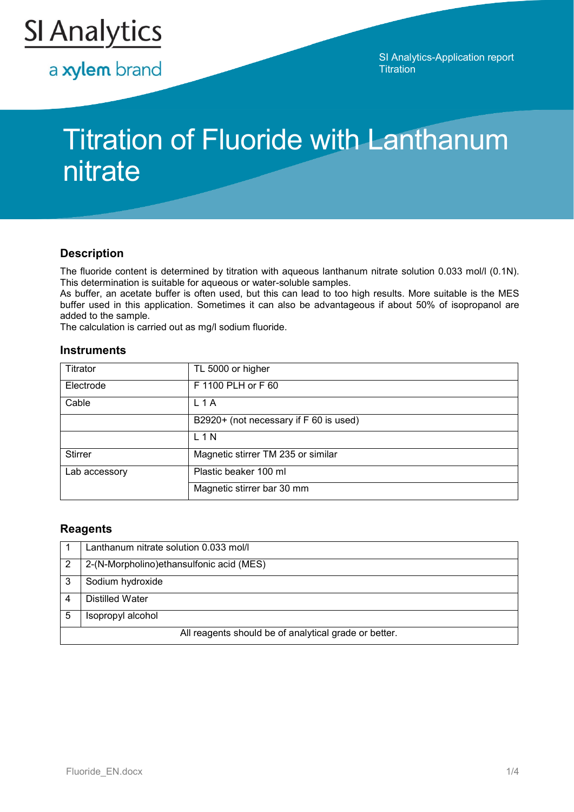

a xylem brand

SI Analytics-Application report **Titration** 

# Titration of Fluoride with Lanthanum nitrate

## **Description**

The fluoride content is determined by titration with aqueous lanthanum nitrate solution 0.033 mol/l (0.1N). This determination is suitable for aqueous or water-soluble samples.

As buffer, an acetate buffer is often used, but this can lead to too high results. More suitable is the MES buffer used in this application. Sometimes it can also be advantageous if about 50% of isopropanol are added to the sample.

The calculation is carried out as mg/l sodium fluoride.

#### **Instruments**

| Titrator       | TL 5000 or higher                      |
|----------------|----------------------------------------|
| Electrode      | F 1100 PLH or F 60                     |
| Cable          | L <sub>1</sub> A                       |
|                | B2920+ (not necessary if F 60 is used) |
|                | $L$ 1 N                                |
| <b>Stirrer</b> | Magnetic stirrer TM 235 or similar     |
| Lab accessory  | Plastic beaker 100 ml                  |
|                | Magnetic stirrer bar 30 mm             |

## **Reagents**

|                                                       | Lanthanum nitrate solution 0.033 mol/l   |  |
|-------------------------------------------------------|------------------------------------------|--|
| 2                                                     | 2-(N-Morpholino)ethansulfonic acid (MES) |  |
|                                                       | Sodium hydroxide                         |  |
|                                                       | <b>Distilled Water</b>                   |  |
| 5                                                     | Isopropyl alcohol                        |  |
| All reagents should be of analytical grade or better. |                                          |  |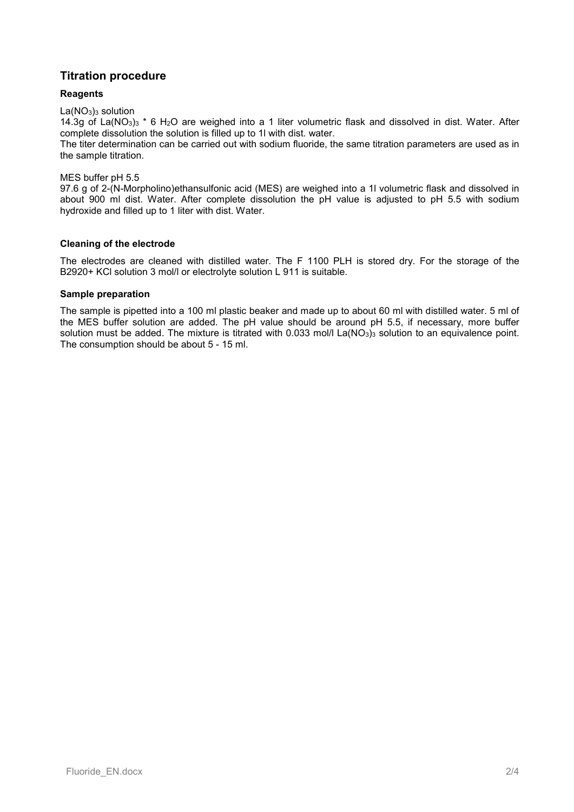## **Titration procedure**

## **Reagents**

 $La(NO<sub>3</sub>)<sub>3</sub>$  solution

14.3g of La(NO3)3 \* 6 H2O are weighed into a 1 liter volumetric flask and dissolved in dist. Water. After complete dissolution the solution is filled up to 1l with dist. water.

The titer determination can be carried out with sodium fluoride, the same titration parameters are used as in the sample titration.

MES buffer pH 5.5

97.6 g of 2-(N-Morpholino)ethansulfonic acid (MES) are weighed into a 1l volumetric flask and dissolved in about 900 ml dist. Water. After complete dissolution the pH value is adjusted to pH 5.5 with sodium hydroxide and filled up to 1 liter with dist. Water.

## **Cleaning of the electrode**

The electrodes are cleaned with distilled water. The F 1100 PLH is stored dry. For the storage of the B2920+ KCl solution 3 mol/l or electrolyte solution L 911 is suitable.

## **Sample preparation**

The sample is pipetted into a 100 ml plastic beaker and made up to about 60 ml with distilled water. 5 ml of the MES buffer solution are added. The pH value should be around pH 5.5, if necessary, more buffer solution must be added. The mixture is titrated with  $0.033$  mol/l La(NO<sub>3</sub>)<sub>3</sub> solution to an equivalence point. The consumption should be about 5 - 15 ml.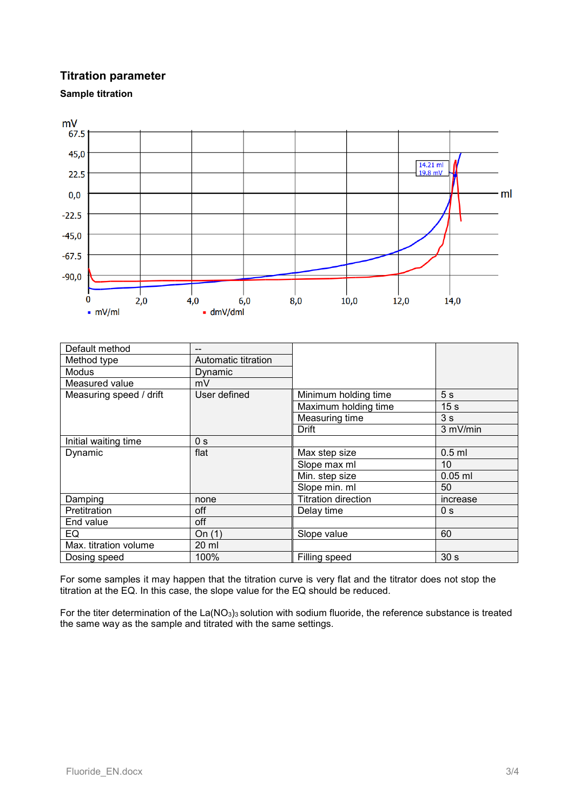## **Titration parameter**





| Default method          |                     |                            |                 |  |
|-------------------------|---------------------|----------------------------|-----------------|--|
| Method type             | Automatic titration |                            |                 |  |
| Modus                   | Dynamic             |                            |                 |  |
| Measured value          | mV                  |                            |                 |  |
| Measuring speed / drift | User defined        | Minimum holding time       | 5 <sub>s</sub>  |  |
|                         |                     | Maximum holding time       | 15 <sub>s</sub> |  |
|                         |                     | Measuring time             | 3s              |  |
|                         |                     | Drift                      | 3 mV/min        |  |
| Initial waiting time    | 0 <sub>s</sub>      |                            |                 |  |
| Dynamic                 | flat                | Max step size              | $0.5$ ml        |  |
|                         |                     | Slope max ml               | 10              |  |
|                         |                     | Min. step size             | $0.05$ ml       |  |
|                         |                     | Slope min. ml              | 50              |  |
| Damping                 | none                | <b>Titration direction</b> | increase        |  |
| Pretitration            | off                 | Delay time                 | 0 <sub>s</sub>  |  |
| End value               | off                 |                            |                 |  |
| EQ                      | On $(1)$            | Slope value                | 60              |  |
| Max. titration volume   | 20 ml               |                            |                 |  |
| Dosing speed            | 100%                | Filling speed              | 30 <sub>s</sub> |  |

For some samples it may happen that the titration curve is very flat and the titrator does not stop the titration at the EQ. In this case, the slope value for the EQ should be reduced.

For the titer determination of the  $La(NO<sub>3</sub>)<sub>3</sub>$  solution with sodium fluoride, the reference substance is treated the same way as the sample and titrated with the same settings.